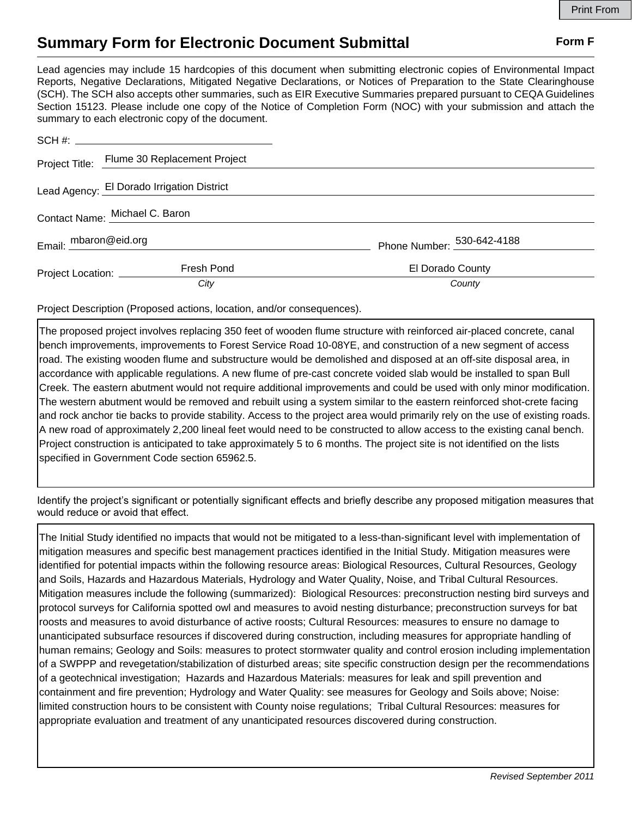## **Summary Form for Electronic Document Submittal Form F Form F**

Lead agencies may include 15 hardcopies of this document when submitting electronic copies of Environmental Impact Reports, Negative Declarations, Mitigated Negative Declarations, or Notices of Preparation to the State Clearinghouse (SCH). The SCH also accepts other summaries, such as EIR Executive Summaries prepared pursuant to CEQA Guidelines Section 15123. Please include one copy of the Notice of Completion Form (NOC) with your submission and attach the summary to each electronic copy of the document.

|                                | Project Title: Flume 30 Replacement Project |                            |
|--------------------------------|---------------------------------------------|----------------------------|
|                                | Lead Agency: El Dorado Irrigation District  |                            |
| Contact Name: Michael C. Baron |                                             |                            |
| Email: mbaron@eid.org          |                                             | Phone Number: 530-642-4188 |
| Project Location: _________    | Fresh Pond                                  | El Dorado County           |
|                                | City                                        | County                     |

Project Description (Proposed actions, location, and/or consequences).

The proposed project involves replacing 350 feet of wooden flume structure with reinforced air-placed concrete, canal bench improvements, improvements to Forest Service Road 10-08YE, and construction of a new segment of access road. The existing wooden flume and substructure would be demolished and disposed at an off-site disposal area, in accordance with applicable regulations. A new flume of pre-cast concrete voided slab would be installed to span Bull Creek. The eastern abutment would not require additional improvements and could be used with only minor modification. The western abutment would be removed and rebuilt using a system similar to the eastern reinforced shot-crete facing and rock anchor tie backs to provide stability. Access to the project area would primarily rely on the use of existing roads. A new road of approximately 2,200 lineal feet would need to be constructed to allow access to the existing canal bench. Project construction is anticipated to take approximately 5 to 6 months. The project site is not identified on the lists specified in Government Code section 65962.5.

Identify the project's significant or potentially significant effects and briefly describe any proposed mitigation measures that would reduce or avoid that effect.

The Initial Study identified no impacts that would not be mitigated to a less-than-significant level with implementation of mitigation measures and specific best management practices identified in the Initial Study. Mitigation measures were identified for potential impacts within the following resource areas: Biological Resources, Cultural Resources, Geology and Soils, Hazards and Hazardous Materials, Hydrology and Water Quality, Noise, and Tribal Cultural Resources. Mitigation measures include the following (summarized): Biological Resources: preconstruction nesting bird surveys and protocol surveys for California spotted owl and measures to avoid nesting disturbance; preconstruction surveys for bat roosts and measures to avoid disturbance of active roosts; Cultural Resources: measures to ensure no damage to unanticipated subsurface resources if discovered during construction, including measures for appropriate handling of human remains; Geology and Soils: measures to protect stormwater quality and control erosion including implementation of a SWPPP and revegetation/stabilization of disturbed areas; site specific construction design per the recommendations of a geotechnical investigation; Hazards and Hazardous Materials: measures for leak and spill prevention and containment and fire prevention; Hydrology and Water Quality: see measures for Geology and Soils above; Noise: limited construction hours to be consistent with County noise regulations; Tribal Cultural Resources: measures for appropriate evaluation and treatment of any unanticipated resources discovered during construction.